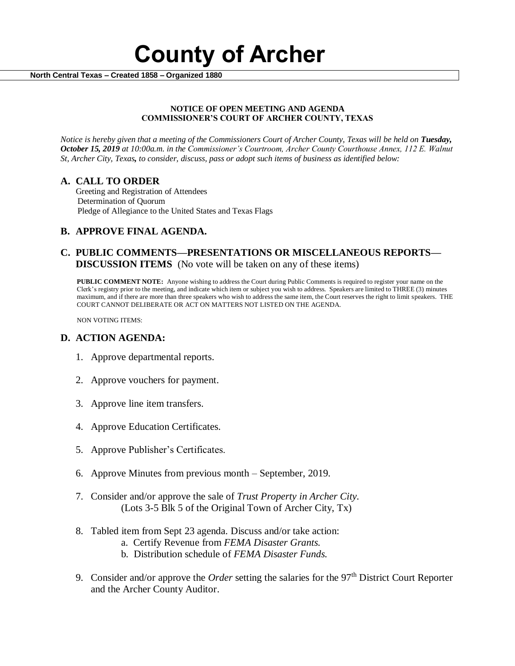

 **North Central Texas – Created 1858 – Organized 1880**

#### **NOTICE OF OPEN MEETING AND AGENDA COMMISSIONER'S COURT OF ARCHER COUNTY, TEXAS**

*Notice is hereby given that a meeting of the Commissioners Court of Archer County, Texas will be held on Tuesday, October 15, 2019 at 10:00a.m. in the Commissioner's Courtroom, Archer County Courthouse Annex, 112 E. Walnut St, Archer City, Texas, to consider, discuss, pass or adopt such items of business as identified below:*

#### **A. CALL TO ORDER**

 Greeting and Registration of Attendees Determination of Quorum Pledge of Allegiance to the United States and Texas Flags

# **B. APPROVE FINAL AGENDA.**

# **C. PUBLIC COMMENTS—PRESENTATIONS OR MISCELLANEOUS REPORTS— DISCUSSION ITEMS** (No vote will be taken on any of these items)

**PUBLIC COMMENT NOTE:** Anyone wishing to address the Court during Public Comments is required to register your name on the Clerk's registry prior to the meeting, and indicate which item or subject you wish to address. Speakers are limited to THREE (3) minutes maximum, and if there are more than three speakers who wish to address the same item, the Court reserves the right to limit speakers. THE COURT CANNOT DELIBERATE OR ACT ON MATTERS NOT LISTED ON THE AGENDA.

NON VOTING ITEMS:

### **D. ACTION AGENDA:**

- 1. Approve departmental reports.
- 2. Approve vouchers for payment.
- 3. Approve line item transfers.
- 4. Approve Education Certificates.
- 5. Approve Publisher's Certificates.
- 6. Approve Minutes from previous month September, 2019.
- 7. Consider and/or approve the sale of *Trust Property in Archer City.*  (Lots 3-5 Blk 5 of the Original Town of Archer City, Tx)
- 8. Tabled item from Sept 23 agenda. Discuss and/or take action:
	- a. Certify Revenue from *FEMA Disaster Grants.*
	- b. Distribution schedule of *FEMA Disaster Funds.*
- 9. Consider and/or approve the *Order* setting the salaries for the 97<sup>th</sup> District Court Reporter and the Archer County Auditor.